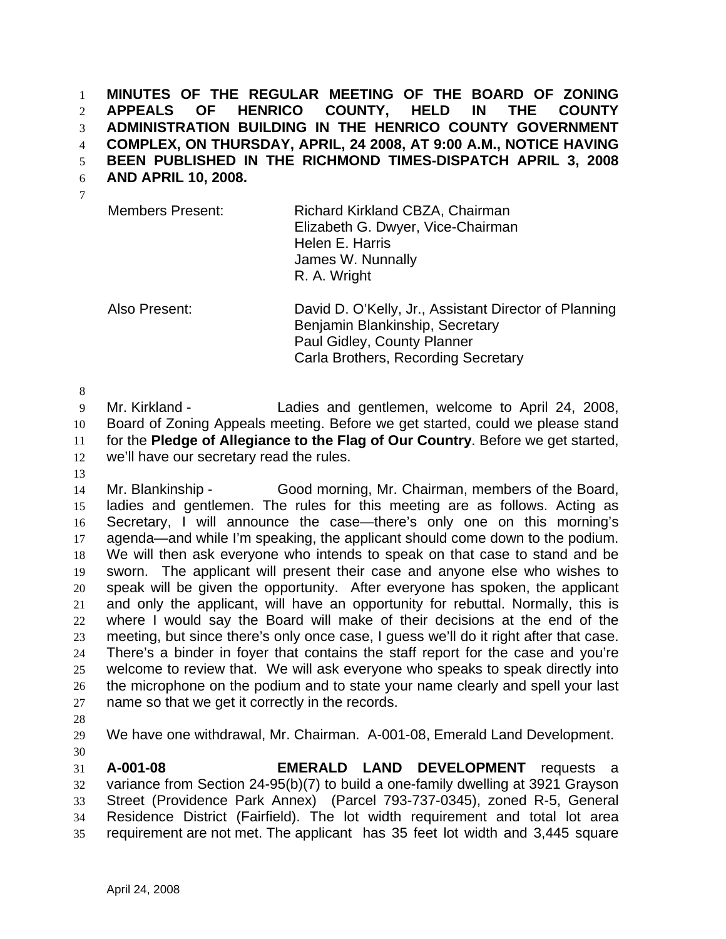**MINUTES OF THE REGULAR MEETING OF THE BOARD OF ZONING APPEALS OF HENRICO COUNTY, HELD IN THE COUNTY ADMINISTRATION BUILDING IN THE HENRICO COUNTY GOVERNMENT COMPLEX, ON THURSDAY, APRIL, 24 2008, AT 9:00 A.M., NOTICE HAVING BEEN PUBLISHED IN THE RICHMOND TIMES-DISPATCH APRIL 3, 2008**  1 2 3 4 5

**AND APRIL 10, 2008.**  6

| <b>Members Present:</b> | Richard Kirkland CBZA, Chairman<br>Elizabeth G. Dwyer, Vice-Chairman<br>Helen E. Harris<br>James W. Nunnally<br>R. A. Wright |
|-------------------------|------------------------------------------------------------------------------------------------------------------------------|
|                         |                                                                                                                              |

Also Present: David D. O'Kelly, Jr., Assistant Director of Planning Benjamin Blankinship, Secretary Paul Gidley, County Planner Carla Brothers, Recording Secretary

8

9 10 11 12 Mr. Kirkland - The Ladies and gentlemen, welcome to April 24, 2008, Board of Zoning Appeals meeting. Before we get started, could we please stand for the **Pledge of Allegiance to the Flag of Our Country**. Before we get started, we'll have our secretary read the rules.

13

14 15 16 17 18 19 20 21 22 23 24 25 26 27 Mr. Blankinship - Good morning, Mr. Chairman, members of the Board, ladies and gentlemen. The rules for this meeting are as follows. Acting as Secretary, I will announce the case—there's only one on this morning's agenda—and while I'm speaking, the applicant should come down to the podium. We will then ask everyone who intends to speak on that case to stand and be sworn. The applicant will present their case and anyone else who wishes to speak will be given the opportunity. After everyone has spoken, the applicant and only the applicant, will have an opportunity for rebuttal. Normally, this is where I would say the Board will make of their decisions at the end of the meeting, but since there's only once case, I guess we'll do it right after that case. There's a binder in foyer that contains the staff report for the case and you're welcome to review that. We will ask everyone who speaks to speak directly into the microphone on the podium and to state your name clearly and spell your last name so that we get it correctly in the records.

28

29 We have one withdrawal, Mr. Chairman. A-001-08, Emerald Land Development.

30

31 32 33 34 35 **A-001-08 EMERALD LAND DEVELOPMENT** requests a variance from Section 24-95(b)(7) to build a one-family dwelling at 3921 Grayson Street (Providence Park Annex) (Parcel 793-737-0345), zoned R-5, General Residence District (Fairfield). The lot width requirement and total lot area requirement are not met. The applicant has 35 feet lot width and 3,445 square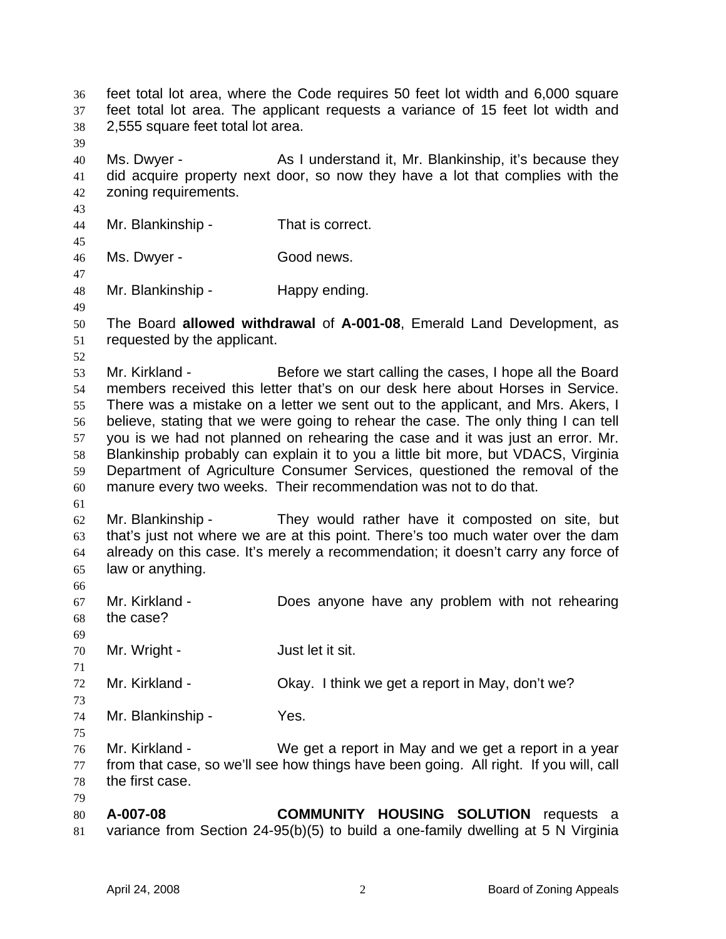feet total lot area, where the Code requires 50 feet lot width and 6,000 square feet total lot area. The applicant requests a variance of 15 feet lot width and 2,555 square feet total lot area. 36 37 38 39 40 41 42 43 44 45 46 47 48 49 50 51 52 53 54 55 56 57 58 59 60 61 62 63 64 65 66 67 68 69 70 71 72 73 74 75 76 77 78 79 80 81 Ms. Dwyer - As I understand it, Mr. Blankinship, it's because they did acquire property next door, so now they have a lot that complies with the zoning requirements. Mr. Blankinship - That is correct. Ms. Dwyer - Good news. Mr. Blankinship - Happy ending. The Board **allowed withdrawal** of **A-001-08**, Emerald Land Development, as requested by the applicant. Mr. Kirkland - Before we start calling the cases, I hope all the Board members received this letter that's on our desk here about Horses in Service. There was a mistake on a letter we sent out to the applicant, and Mrs. Akers, I believe, stating that we were going to rehear the case. The only thing I can tell you is we had not planned on rehearing the case and it was just an error. Mr. Blankinship probably can explain it to you a little bit more, but VDACS, Virginia Department of Agriculture Consumer Services, questioned the removal of the manure every two weeks. Their recommendation was not to do that. Mr. Blankinship - They would rather have it composted on site, but that's just not where we are at this point. There's too much water over the dam already on this case. It's merely a recommendation; it doesn't carry any force of law or anything. Mr. Kirkland - **Does anyone have any problem with not rehearing** the case? Mr. Wright - The Solution of Just let it sit. Mr. Kirkland - Ckay. I think we get a report in May, don't we? Mr. Blankinship - Yes. Mr. Kirkland - We get a report in May and we get a report in a year from that case, so we'll see how things have been going. All right. If you will, call the first case. **A-007-08 COMMUNITY HOUSING SOLUTION** requests a variance from Section 24-95(b)(5) to build a one-family dwelling at 5 N Virginia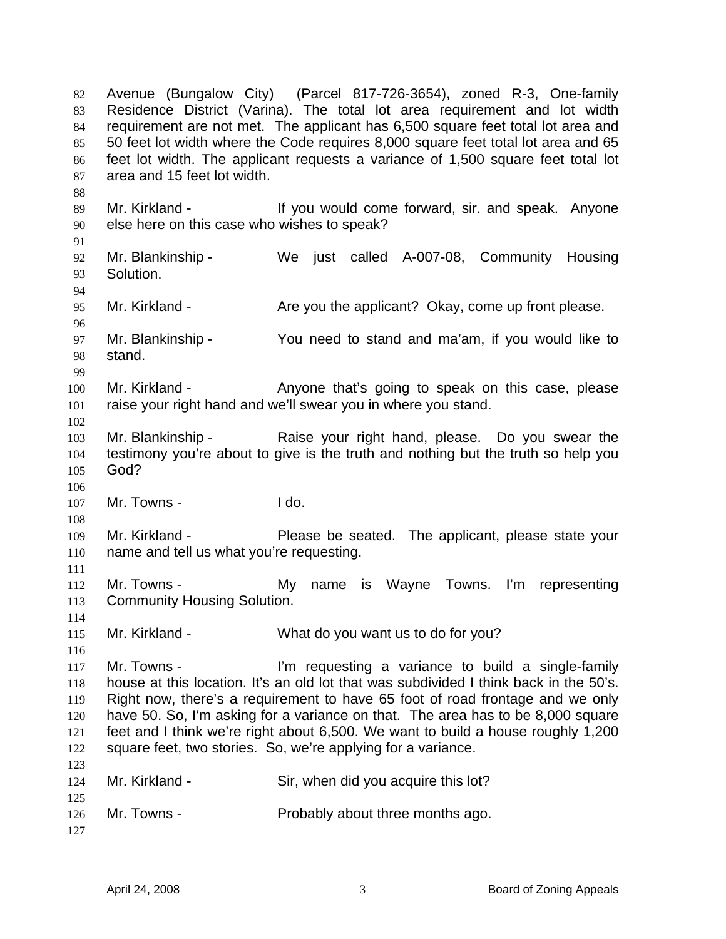Avenue (Bungalow City) (Parcel 817-726-3654), zoned R-3, One-family Residence District (Varina). The total lot area requirement and lot width requirement are not met. The applicant has 6,500 square feet total lot area and 50 feet lot width where the Code requires 8,000 square feet total lot area and 65 feet lot width. The applicant requests a variance of 1,500 square feet total lot area and 15 feet lot width. 82 83 84 85 86 87 88 89 90 91 92 93 94 95 96 97 98 99 100 101 102 103 104 105 106 107 108 109 110 111 112 113 114 115 116 117 118 119 120 121 122 123 124 125 126 127 Mr. Kirkland - The State of the Would come forward, sir. and speak. Anyone else here on this case who wishes to speak? Mr. Blankinship - We just called A-007-08, Community Housing Solution. Mr. Kirkland - Are you the applicant? Okay, come up front please. Mr. Blankinship - You need to stand and ma'am, if you would like to stand. Mr. Kirkland - The Anyone that's going to speak on this case, please raise your right hand and we'll swear you in where you stand. Mr. Blankinship - Raise your right hand, please. Do you swear the testimony you're about to give is the truth and nothing but the truth so help you God? Mr. Towns - I do. Mr. Kirkland - Please be seated. The applicant, please state your name and tell us what you're requesting. Mr. Towns - My name is Wayne Towns. I'm representing Community Housing Solution. Mr. Kirkland - What do you want us to do for you? Mr. Towns - I'm requesting a variance to build a single-family house at this location. It's an old lot that was subdivided I think back in the 50's. Right now, there's a requirement to have 65 foot of road frontage and we only have 50. So, I'm asking for a variance on that. The area has to be 8,000 square feet and I think we're right about 6,500. We want to build a house roughly 1,200 square feet, two stories. So, we're applying for a variance. Mr. Kirkland - Sir, when did you acquire this lot? Mr. Towns - Probably about three months ago.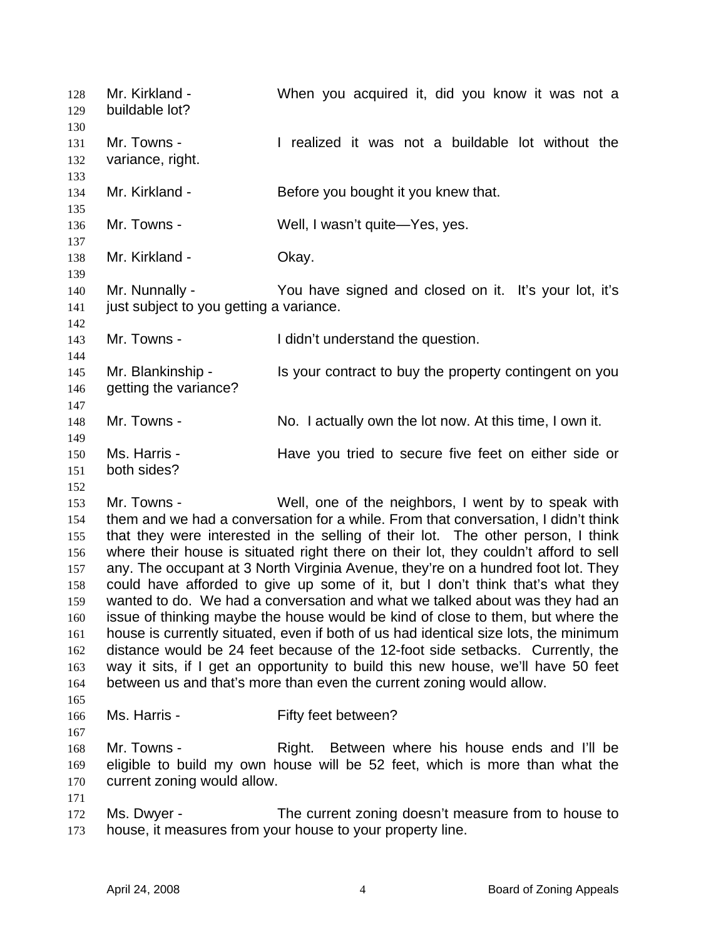Mr. Kirkland - When you acquired it, did you know it was not a buildable lot? 128 129 130 131 132 133 134 135 136 137 138 139 140 141 142 143 144 145 146 147 148 149 150 151 152 153 154 155 156 157 158 159 160 161 162 163 164 165 166 167 168 169 170 171 172 173 Mr. Towns - I realized it was not a buildable lot without the variance, right. Mr. Kirkland - Before you bought it you knew that. Mr. Towns - Well, I wasn't quite—Yes, yes. Mr. Kirkland - **Okay.** Mr. Nunnally - You have signed and closed on it. It's your lot, it's just subject to you getting a variance. Mr. Towns - I didn't understand the question. Mr. Blankinship - Is your contract to buy the property contingent on you getting the variance? Mr. Towns - No. I actually own the lot now. At this time, I own it. Ms. Harris - Have you tried to secure five feet on either side or both sides? Mr. Towns - Well, one of the neighbors, I went by to speak with them and we had a conversation for a while. From that conversation, I didn't think that they were interested in the selling of their lot. The other person, I think where their house is situated right there on their lot, they couldn't afford to sell any. The occupant at 3 North Virginia Avenue, they're on a hundred foot lot. They could have afforded to give up some of it, but I don't think that's what they wanted to do. We had a conversation and what we talked about was they had an issue of thinking maybe the house would be kind of close to them, but where the house is currently situated, even if both of us had identical size lots, the minimum distance would be 24 feet because of the 12-foot side setbacks. Currently, the way it sits, if I get an opportunity to build this new house, we'll have 50 feet between us and that's more than even the current zoning would allow. Ms. Harris - Fifty feet between? Mr. Towns - The Right. Between where his house ends and I'll be eligible to build my own house will be 52 feet, which is more than what the current zoning would allow. Ms. Dwyer - The current zoning doesn't measure from to house to house, it measures from your house to your property line.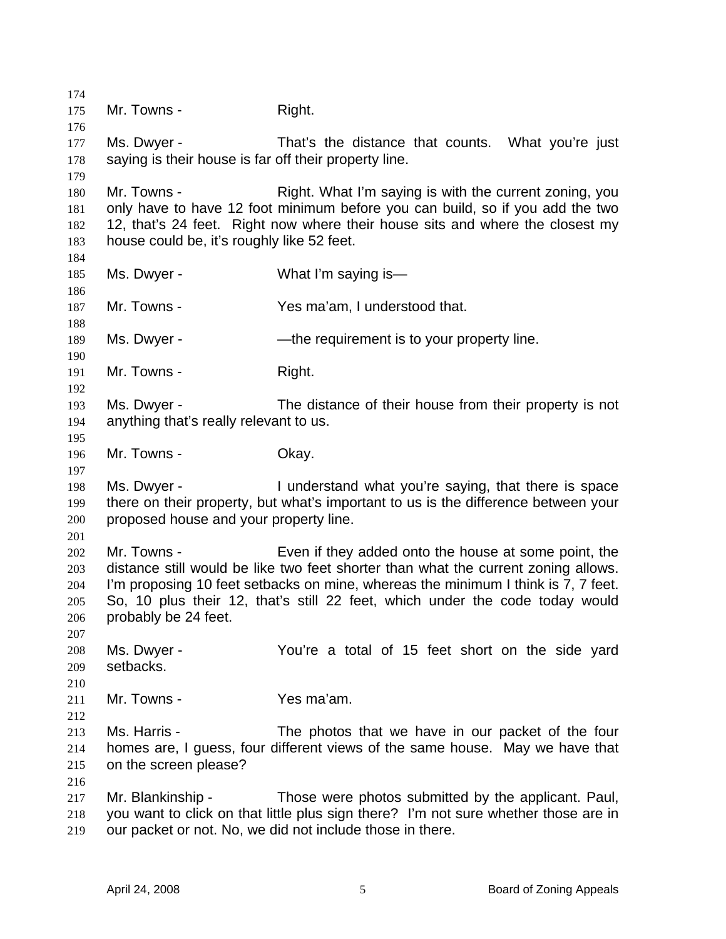174 175 176 177 178 179 180 181 182 183 184 185 186 187 188 189 190 191 192 193 194 195 196 197 198 199 200 201 202 203 204 205 206 207 208 209 210 211 212 213 214 215 216 217 218 219 Mr. Towns - The Right. Ms. Dwyer - That's the distance that counts. What you're just saying is their house is far off their property line. Mr. Towns - Right. What I'm saying is with the current zoning, you only have to have 12 foot minimum before you can build, so if you add the two 12, that's 24 feet. Right now where their house sits and where the closest my house could be, it's roughly like 52 feet. Ms. Dwyer - What I'm saying is— Mr. Towns - Yes ma'am, I understood that. Ms. Dwyer - The requirement is to your property line. Mr. Towns - Right. Ms. Dwyer - The distance of their house from their property is not anything that's really relevant to us. Mr. Towns - Chay. Ms. Dwyer - The Understand what you're saying, that there is space there on their property, but what's important to us is the difference between your proposed house and your property line. Mr. Towns - Even if they added onto the house at some point, the distance still would be like two feet shorter than what the current zoning allows. I'm proposing 10 feet setbacks on mine, whereas the minimum I think is 7, 7 feet. So, 10 plus their 12, that's still 22 feet, which under the code today would probably be 24 feet. Ms. Dwyer - The You're a total of 15 feet short on the side yard setbacks. Mr. Towns - Yes ma'am. Ms. Harris - The photos that we have in our packet of the four homes are, I guess, four different views of the same house. May we have that on the screen please? Mr. Blankinship - Those were photos submitted by the applicant. Paul, you want to click on that little plus sign there? I'm not sure whether those are in our packet or not. No, we did not include those in there.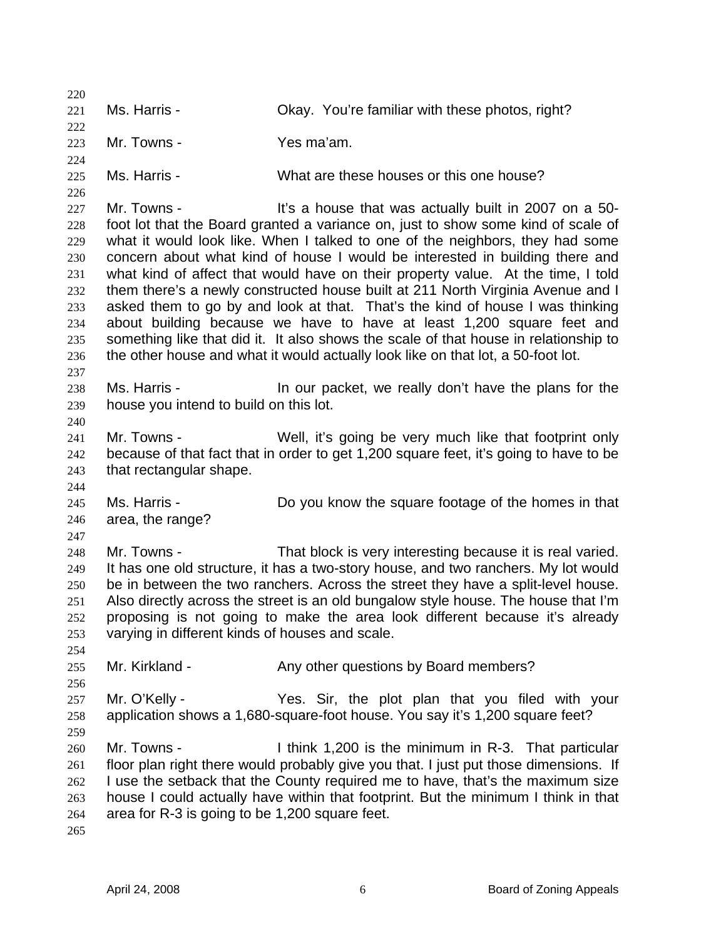220 221 222 223 224 225 226 227 228 229 230 231 232 233 234 235 236 237 238 239 240 241 242 243 244 245 246 247 248 249 250 251 252 253 254 255 256 257 258 259 260 261 262 263 264 265 Ms. Harris - Okay. You're familiar with these photos, right? Mr. Towns - The Yes ma'am. Ms. Harris - What are these houses or this one house? Mr. Towns - The Mustain of the U.S. a house that was actually built in 2007 on a 50foot lot that the Board granted a variance on, just to show some kind of scale of what it would look like. When I talked to one of the neighbors, they had some concern about what kind of house I would be interested in building there and what kind of affect that would have on their property value. At the time, I told them there's a newly constructed house built at 211 North Virginia Avenue and I asked them to go by and look at that. That's the kind of house I was thinking about building because we have to have at least 1,200 square feet and something like that did it. It also shows the scale of that house in relationship to the other house and what it would actually look like on that lot, a 50-foot lot. Ms. Harris - The State of the our packet, we really don't have the plans for the house you intend to build on this lot. Mr. Towns - Well, it's going be very much like that footprint only because of that fact that in order to get 1,200 square feet, it's going to have to be that rectangular shape. Ms. Harris - Do you know the square footage of the homes in that area, the range? Mr. Towns - That block is very interesting because it is real varied. It has one old structure, it has a two-story house, and two ranchers. My lot would be in between the two ranchers. Across the street they have a split-level house. Also directly across the street is an old bungalow style house. The house that I'm proposing is not going to make the area look different because it's already varying in different kinds of houses and scale. Mr. Kirkland - The Any other questions by Board members? Mr. O'Kelly - Yes. Sir, the plot plan that you filed with your application shows a 1,680-square-foot house. You say it's 1,200 square feet? Mr. Towns - I think 1,200 is the minimum in R-3. That particular floor plan right there would probably give you that. I just put those dimensions. If I use the setback that the County required me to have, that's the maximum size house I could actually have within that footprint. But the minimum I think in that area for R-3 is going to be 1,200 square feet.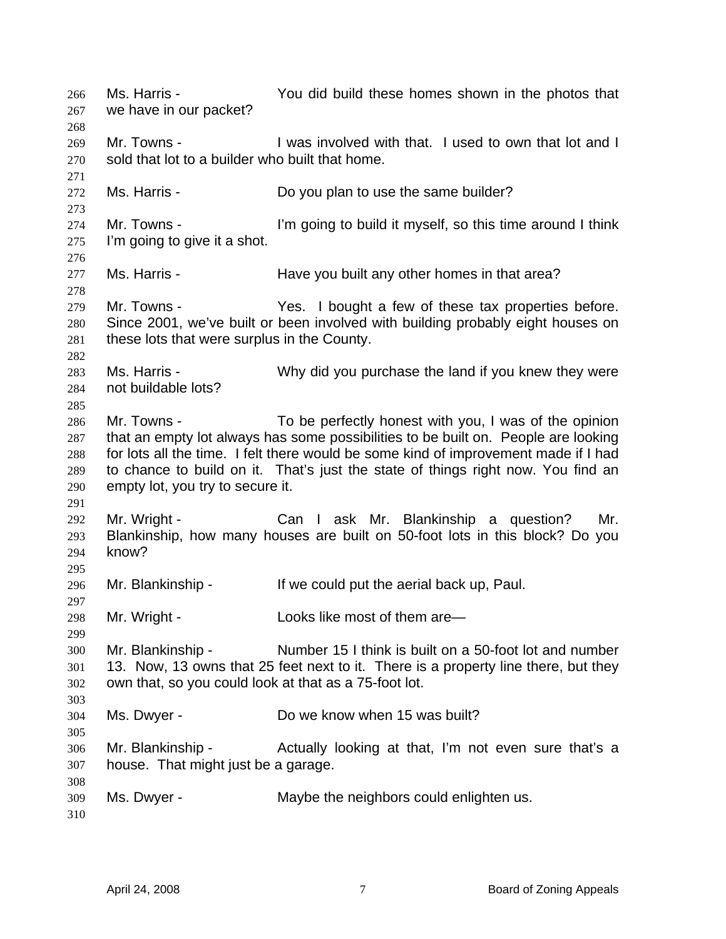Ms. Harris - You did build these homes shown in the photos that we have in our packet? 266 267 268 269 270 271 272 273 274 275 276 277 278 279 280 281 282 283 284 285 286 287 288 289 290 291 292 293 294 295 296 297 298 299 300 301 302 303 304 305 306 307 308 309 310 Mr. Towns - The U was involved with that. I used to own that lot and I sold that lot to a builder who built that home. Ms. Harris - Do you plan to use the same builder? Mr. Towns - I'm going to build it myself, so this time around I think I'm going to give it a shot. Ms. Harris - The Have you built any other homes in that area? Mr. Towns - The Yes. I bought a few of these tax properties before. Since 2001, we've built or been involved with building probably eight houses on these lots that were surplus in the County. Ms. Harris - Why did you purchase the land if you knew they were not buildable lots? Mr. Towns - To be perfectly honest with you, I was of the opinion that an empty lot always has some possibilities to be built on. People are looking for lots all the time. I felt there would be some kind of improvement made if I had to chance to build on it. That's just the state of things right now. You find an empty lot, you try to secure it. Mr. Wright - Can I ask Mr. Blankinship a question? Mr. Blankinship, how many houses are built on 50-foot lots in this block? Do you know? Mr. Blankinship - If we could put the aerial back up, Paul. Mr. Wright - Looks like most of them are— Mr. Blankinship - Number 15 I think is built on a 50-foot lot and number 13. Now, 13 owns that 25 feet next to it. There is a property line there, but they own that, so you could look at that as a 75-foot lot. Ms. Dwyer - Do we know when 15 was built? Mr. Blankinship - Actually looking at that, I'm not even sure that's a house. That might just be a garage. Ms. Dwyer - Maybe the neighbors could enlighten us.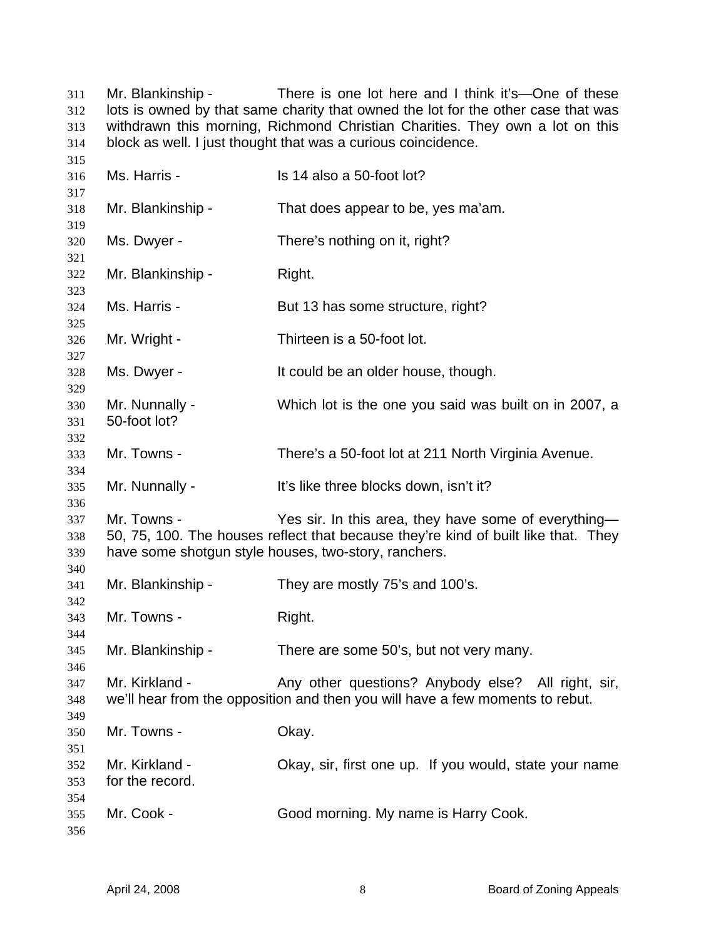Mr. Blankinship - There is one lot here and I think it's—One of these lots is owned by that same charity that owned the lot for the other case that was withdrawn this morning, Richmond Christian Charities. They own a lot on this block as well. I just thought that was a curious coincidence. 

| 316        | Ms. Harris -      | Is 14 also a 50-foot lot?                                                          |
|------------|-------------------|------------------------------------------------------------------------------------|
| 317<br>318 | Mr. Blankinship - | That does appear to be, yes ma'am.                                                 |
| 319        |                   |                                                                                    |
| 320        | Ms. Dwyer -       | There's nothing on it, right?                                                      |
| 321        |                   |                                                                                    |
| 322        | Mr. Blankinship - | Right.                                                                             |
| 323        |                   |                                                                                    |
| 324<br>325 | Ms. Harris -      | But 13 has some structure, right?                                                  |
| 326        | Mr. Wright -      | Thirteen is a 50-foot lot.                                                         |
| 327        |                   |                                                                                    |
| 328        | Ms. Dwyer -       | It could be an older house, though.                                                |
| 329        |                   |                                                                                    |
| 330        | Mr. Nunnally -    | Which lot is the one you said was built on in 2007, a                              |
| 331        | 50-foot lot?      |                                                                                    |
| 332        |                   |                                                                                    |
| 333        | Mr. Towns -       | There's a 50-foot lot at 211 North Virginia Avenue.                                |
| 334<br>335 | Mr. Nunnally -    | It's like three blocks down, isn't it?                                             |
| 336        |                   |                                                                                    |
| 337        | Mr. Towns -       | Yes sir. In this area, they have some of everything-                               |
| 338        |                   | 50, 75, 100. The houses reflect that because they're kind of built like that. They |
| 339        |                   | have some shotgun style houses, two-story, ranchers.                               |
| 340        |                   |                                                                                    |
| 341        | Mr. Blankinship - | They are mostly 75's and 100's.                                                    |
| 342        |                   |                                                                                    |
| 343        | Mr. Towns -       | Right.                                                                             |
| 344        |                   |                                                                                    |
| 345        | Mr. Blankinship - | There are some 50's, but not very many.                                            |
| 346<br>347 | Mr. Kirkland -    | Any other questions? Anybody else? All right, sir,                                 |
| 348        |                   | we'll hear from the opposition and then you will have a few moments to rebut.      |
| 349        |                   |                                                                                    |
| 350        | Mr. Towns -       | Okay.                                                                              |
| 351        |                   |                                                                                    |
| 352        | Mr. Kirkland -    | Okay, sir, first one up. If you would, state your name                             |
| 353        | for the record.   |                                                                                    |
| 354        |                   |                                                                                    |
| 355        | Mr. Cook -        | Good morning. My name is Harry Cook.                                               |
| 356        |                   |                                                                                    |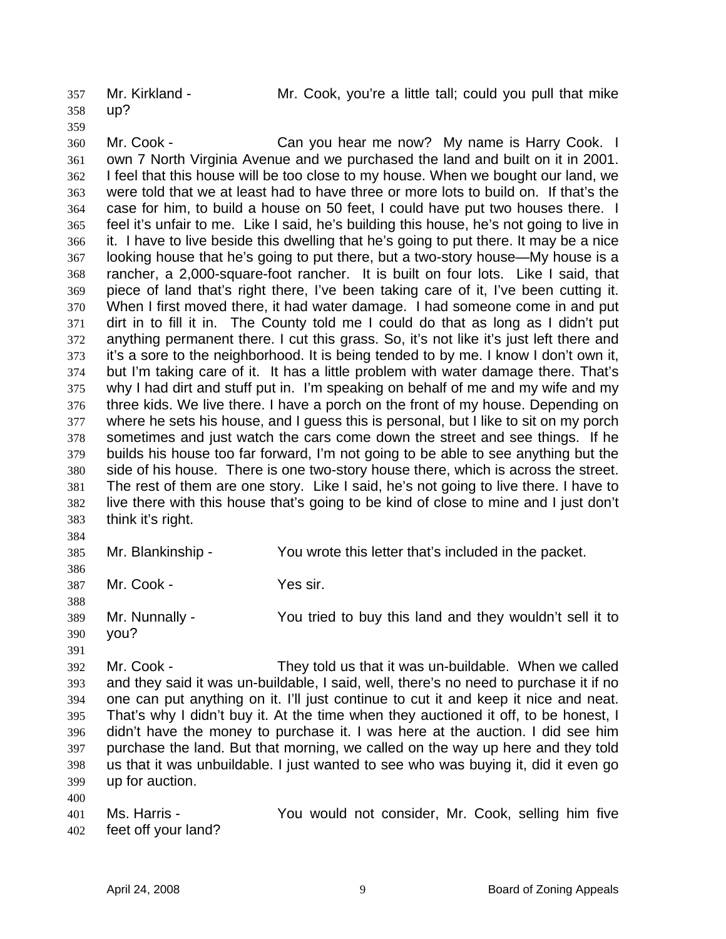up? 357

Mr. Kirkland - Mr. Cook, you're a little tall; could you pull that mike

358

359

360

361 362 363 364 365 366 367 368 369 370 371 372 373 374 375 376 377 378 379 380 381 382 383 Mr. Cook - Can you hear me now? My name is Harry Cook. I own 7 North Virginia Avenue and we purchased the land and built on it in 2001. I feel that this house will be too close to my house. When we bought our land, we were told that we at least had to have three or more lots to build on. If that's the case for him, to build a house on 50 feet, I could have put two houses there. I feel it's unfair to me. Like I said, he's building this house, he's not going to live in it. I have to live beside this dwelling that he's going to put there. It may be a nice looking house that he's going to put there, but a two-story house—My house is a rancher, a 2,000-square-foot rancher. It is built on four lots. Like I said, that piece of land that's right there, I've been taking care of it, I've been cutting it. When I first moved there, it had water damage. I had someone come in and put dirt in to fill it in. The County told me I could do that as long as I didn't put anything permanent there. I cut this grass. So, it's not like it's just left there and it's a sore to the neighborhood. It is being tended to by me. I know I don't own it, but I'm taking care of it. It has a little problem with water damage there. That's why I had dirt and stuff put in. I'm speaking on behalf of me and my wife and my three kids. We live there. I have a porch on the front of my house. Depending on where he sets his house, and I guess this is personal, but I like to sit on my porch sometimes and just watch the cars come down the street and see things. If he builds his house too far forward, I'm not going to be able to see anything but the side of his house. There is one two-story house there, which is across the street. The rest of them are one story. Like I said, he's not going to live there. I have to live there with this house that's going to be kind of close to mine and I just don't think it's right.

384

385 Mr. Blankinship - You wrote this letter that's included in the packet.

386 387

388

Mr. Cook - Yes sir.

389 Mr. Nunnally - You tried to buy this land and they wouldn't sell it to you?

390 391

400

392 393 394 395 396 397 398 399 Mr. Cook - They told us that it was un-buildable. When we called and they said it was un-buildable, I said, well, there's no need to purchase it if no one can put anything on it. I'll just continue to cut it and keep it nice and neat. That's why I didn't buy it. At the time when they auctioned it off, to be honest, I didn't have the money to purchase it. I was here at the auction. I did see him purchase the land. But that morning, we called on the way up here and they told us that it was unbuildable. I just wanted to see who was buying it, did it even go up for auction.

401 402 Ms. Harris - The You would not consider, Mr. Cook, selling him five feet off your land?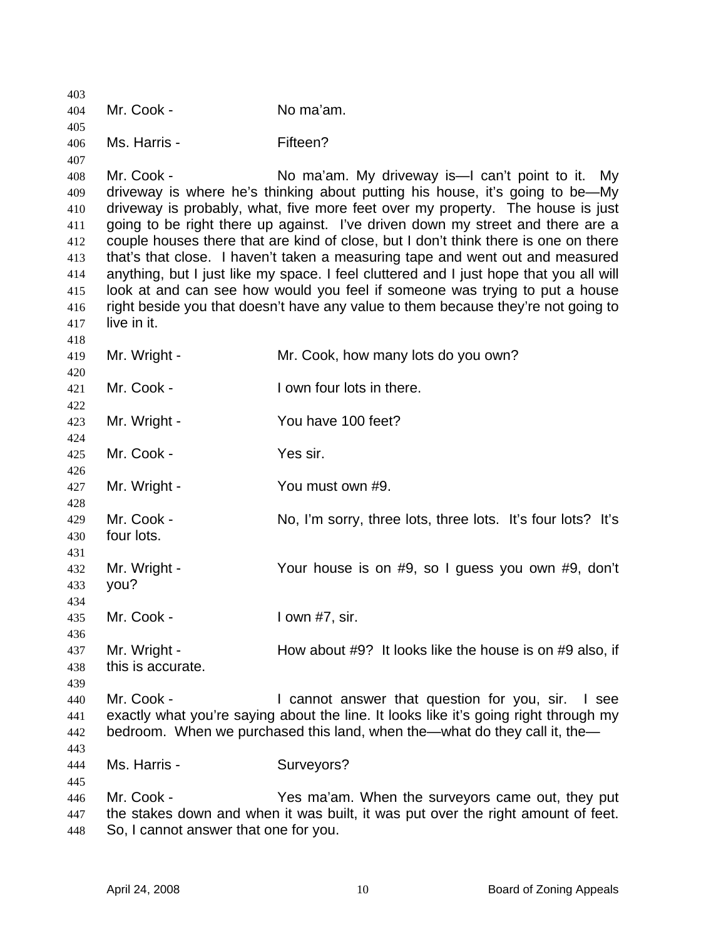| 403        |                                       |                                                                                                                                                                       |
|------------|---------------------------------------|-----------------------------------------------------------------------------------------------------------------------------------------------------------------------|
| 404        | Mr. Cook -                            | No ma'am.                                                                                                                                                             |
| 405        |                                       |                                                                                                                                                                       |
| 406        | Ms. Harris -                          | Fifteen?                                                                                                                                                              |
| 407        |                                       |                                                                                                                                                                       |
| 408        | Mr. Cook -                            | No ma'am. My driveway is—I can't point to it. My                                                                                                                      |
| 409        |                                       | driveway is where he's thinking about putting his house, it's going to be—My                                                                                          |
| 410        |                                       | driveway is probably, what, five more feet over my property. The house is just                                                                                        |
| 411        |                                       | going to be right there up against. I've driven down my street and there are a                                                                                        |
| 412        |                                       | couple houses there that are kind of close, but I don't think there is one on there                                                                                   |
| 413        |                                       | that's that close. I haven't taken a measuring tape and went out and measured                                                                                         |
| 414        |                                       | anything, but I just like my space. I feel cluttered and I just hope that you all will<br>look at and can see how would you feel if someone was trying to put a house |
| 415        |                                       | right beside you that doesn't have any value to them because they're not going to                                                                                     |
| 416        | live in it.                           |                                                                                                                                                                       |
| 417<br>418 |                                       |                                                                                                                                                                       |
| 419        | Mr. Wright -                          | Mr. Cook, how many lots do you own?                                                                                                                                   |
| 420        |                                       |                                                                                                                                                                       |
| 421        | Mr. Cook -                            | I own four lots in there.                                                                                                                                             |
| 422        |                                       |                                                                                                                                                                       |
| 423        | Mr. Wright -                          | You have 100 feet?                                                                                                                                                    |
| 424        |                                       |                                                                                                                                                                       |
| 425        | Mr. Cook -                            | Yes sir.                                                                                                                                                              |
| 426        |                                       |                                                                                                                                                                       |
| 427        | Mr. Wright -                          | You must own #9.                                                                                                                                                      |
| 428        |                                       |                                                                                                                                                                       |
| 429        | Mr. Cook -                            | No, I'm sorry, three lots, three lots. It's four lots? It's                                                                                                           |
| 430        | four lots.                            |                                                                                                                                                                       |
| 431        |                                       |                                                                                                                                                                       |
| 432        | Mr. Wright -                          | Your house is on #9, so I guess you own #9, don't                                                                                                                     |
| 433        | you?                                  |                                                                                                                                                                       |
| 434        |                                       |                                                                                                                                                                       |
| 435        | Mr. Cook -                            | I own #7, sir.                                                                                                                                                        |
| 436        |                                       |                                                                                                                                                                       |
| 437        | Mr. Wright -                          | How about #9? It looks like the house is on #9 also, if                                                                                                               |
| 438        | this is accurate.                     |                                                                                                                                                                       |
| 439        |                                       |                                                                                                                                                                       |
| 440        | Mr. Cook -                            | I cannot answer that question for you, sir. I see                                                                                                                     |
| 441        |                                       | exactly what you're saying about the line. It looks like it's going right through my                                                                                  |
| 442        |                                       | bedroom. When we purchased this land, when the—what do they call it, the—                                                                                             |
| 443        |                                       |                                                                                                                                                                       |
| 444        | Ms. Harris -                          | Surveyors?                                                                                                                                                            |
| 445        |                                       |                                                                                                                                                                       |
| 446        | Mr. Cook -                            | Yes ma'am. When the surveyors came out, they put                                                                                                                      |
| 447        |                                       | the stakes down and when it was built, it was put over the right amount of feet.                                                                                      |
| 448        | So, I cannot answer that one for you. |                                                                                                                                                                       |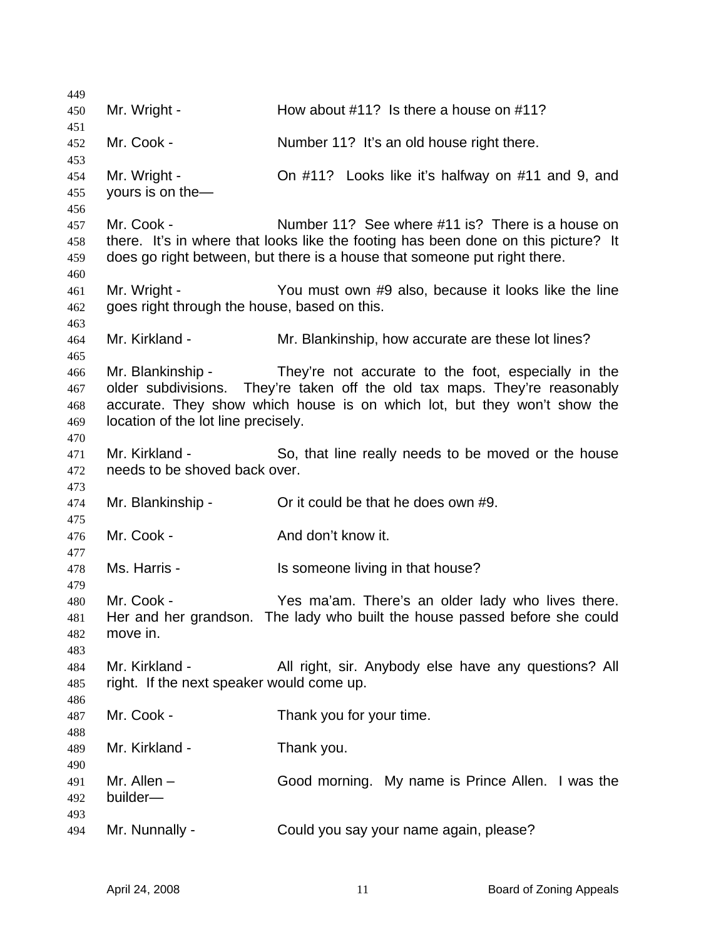Mr. Wright - How about #11? Is there a house on #11? Mr. Cook - Number 11? It's an old house right there. Mr. Wright - Charlel 2000 + 11? Looks like it's halfway on #11 and 9, and yours is on the— Mr. Cook - Number 11? See where #11 is? There is a house on there. It's in where that looks like the footing has been done on this picture? It does go right between, but there is a house that someone put right there. Mr. Wright - You must own #9 also, because it looks like the line goes right through the house, based on this. Mr. Kirkland - Mr. Blankinship, how accurate are these lot lines? Mr. Blankinship - They're not accurate to the foot, especially in the older subdivisions. They're taken off the old tax maps. They're reasonably accurate. They show which house is on which lot, but they won't show the location of the lot line precisely. Mr. Kirkland - So, that line really needs to be moved or the house needs to be shoved back over. Mr. Blankinship - Or it could be that he does own #9. Mr. Cook - **And don't know it.** Ms. Harris - Is someone living in that house? Mr. Cook - Yes ma'am. There's an older lady who lives there. Her and her grandson. The lady who built the house passed before she could move in. Mr. Kirkland - **All right, sir. Anybody else have any questions**? All right. If the next speaker would come up. Mr. Cook - Thank you for your time. Mr. Kirkland - Thank you. Mr. Allen – Good morning. My name is Prince Allen. I was the builder— Mr. Nunnally - Could you say your name again, please?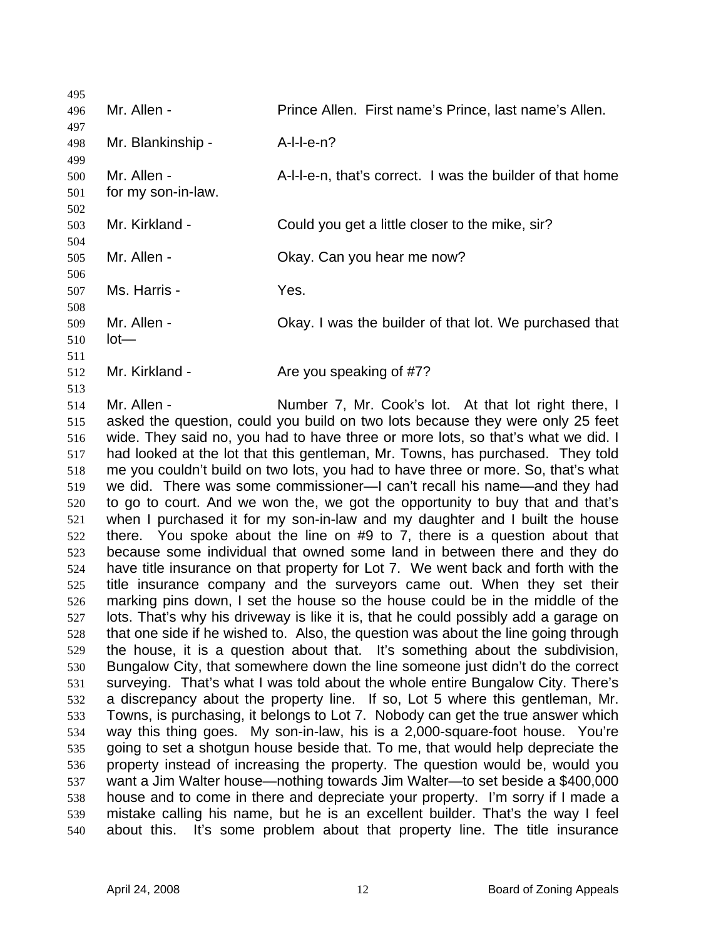495 496 497 498 499 500 501 502 503 504 505 506 507 508 509 510 511 512 513 514 515 516 517 518 519 520 521 522 523 524 525 526 527 528 529 530 531 532 533 534 535 536 537 538 539 540 Mr. Allen - Prince Allen. First name's Prince, last name's Allen. Mr. Blankinship - A-I-I-e-n? Mr. Allen - A-l-l-e-n, that's correct. I was the builder of that home for my son-in-law. Mr. Kirkland - Could you get a little closer to the mike, sir? Mr. Allen - Chay. Can you hear me now? Ms. Harris - The Yes. Mr. Allen - Okay. I was the builder of that lot. We purchased that lot— Mr. Kirkland - Are you speaking of #7? Mr. Allen - Number 7, Mr. Cook's lot. At that lot right there, I asked the question, could you build on two lots because they were only 25 feet wide. They said no, you had to have three or more lots, so that's what we did. I had looked at the lot that this gentleman, Mr. Towns, has purchased. They told me you couldn't build on two lots, you had to have three or more. So, that's what we did. There was some commissioner—I can't recall his name—and they had to go to court. And we won the, we got the opportunity to buy that and that's when I purchased it for my son-in-law and my daughter and I built the house there. You spoke about the line on #9 to 7, there is a question about that because some individual that owned some land in between there and they do have title insurance on that property for Lot 7. We went back and forth with the title insurance company and the surveyors came out. When they set their marking pins down, I set the house so the house could be in the middle of the lots. That's why his driveway is like it is, that he could possibly add a garage on that one side if he wished to. Also, the question was about the line going through the house, it is a question about that. It's something about the subdivision, Bungalow City, that somewhere down the line someone just didn't do the correct surveying. That's what I was told about the whole entire Bungalow City. There's a discrepancy about the property line. If so, Lot 5 where this gentleman, Mr. Towns, is purchasing, it belongs to Lot 7. Nobody can get the true answer which way this thing goes. My son-in-law, his is a 2,000-square-foot house. You're going to set a shotgun house beside that. To me, that would help depreciate the property instead of increasing the property. The question would be, would you want a Jim Walter house—nothing towards Jim Walter—to set beside a \$400,000 house and to come in there and depreciate your property. I'm sorry if I made a mistake calling his name, but he is an excellent builder. That's the way I feel about this. It's some problem about that property line. The title insurance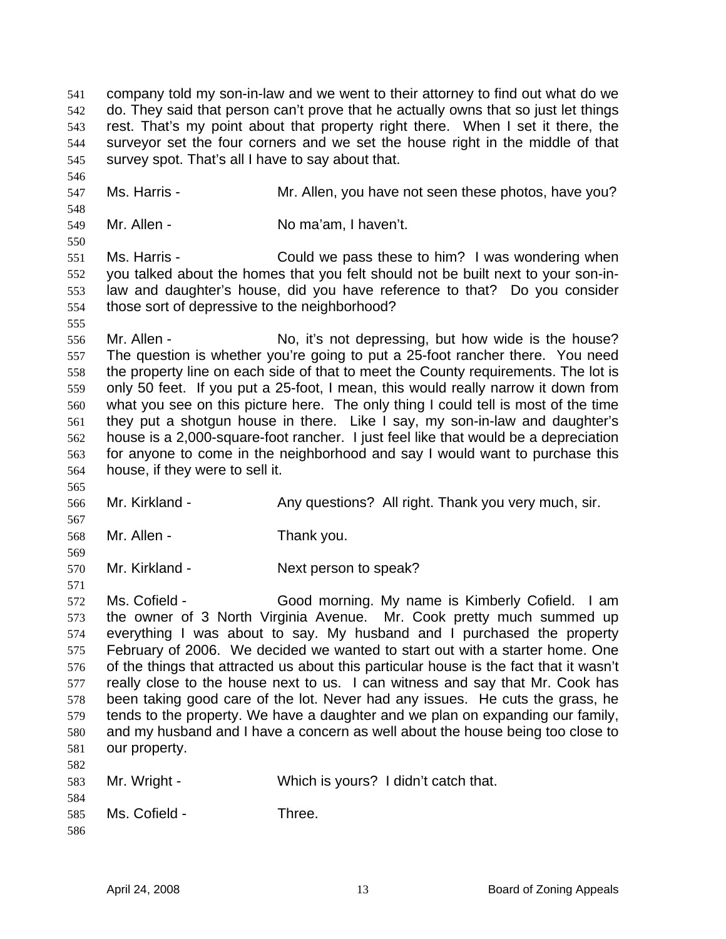company told my son-in-law and we went to their attorney to find out what do we do. They said that person can't prove that he actually owns that so just let things rest. That's my point about that property right there. When I set it there, the surveyor set the four corners and we set the house right in the middle of that survey spot. That's all I have to say about that. 541 542 543 544 545

547 Ms. Harris - Mr. Allen, you have not seen these photos, have you?

549 Mr. Allen - No ma'am, I haven't.

551 552 553 554 Ms. Harris - Could we pass these to him? I was wondering when you talked about the homes that you felt should not be built next to your son-inlaw and daughter's house, did you have reference to that? Do you consider those sort of depressive to the neighborhood?

555

565

567

569

571

546

548

550

556 557 558 559 560 561 562 563 564 Mr. Allen - No, it's not depressing, but how wide is the house? The question is whether you're going to put a 25-foot rancher there. You need the property line on each side of that to meet the County requirements. The lot is only 50 feet. If you put a 25-foot, I mean, this would really narrow it down from what you see on this picture here. The only thing I could tell is most of the time they put a shotgun house in there. Like I say, my son-in-law and daughter's house is a 2,000-square-foot rancher. I just feel like that would be a depreciation for anyone to come in the neighborhood and say I would want to purchase this house, if they were to sell it.

566 Mr. Kirkland - Any questions? All right. Thank you very much, sir.

568 Mr. Allen - Thank you.

570 Mr. Kirkland - Next person to speak?

572 573 574 575 576 577 578 579 580 581 582 Ms. Cofield - Good morning. My name is Kimberly Cofield. I am the owner of 3 North Virginia Avenue. Mr. Cook pretty much summed up everything I was about to say. My husband and I purchased the property February of 2006. We decided we wanted to start out with a starter home. One of the things that attracted us about this particular house is the fact that it wasn't really close to the house next to us. I can witness and say that Mr. Cook has been taking good care of the lot. Never had any issues. He cuts the grass, he tends to the property. We have a daughter and we plan on expanding our family, and my husband and I have a concern as well about the house being too close to our property.

| 583 | Mr. Wright -  | Which is yours? I didn't catch that. |
|-----|---------------|--------------------------------------|
| 584 |               |                                      |
| 585 | Ms. Cofield - | Three.                               |
| 586 |               |                                      |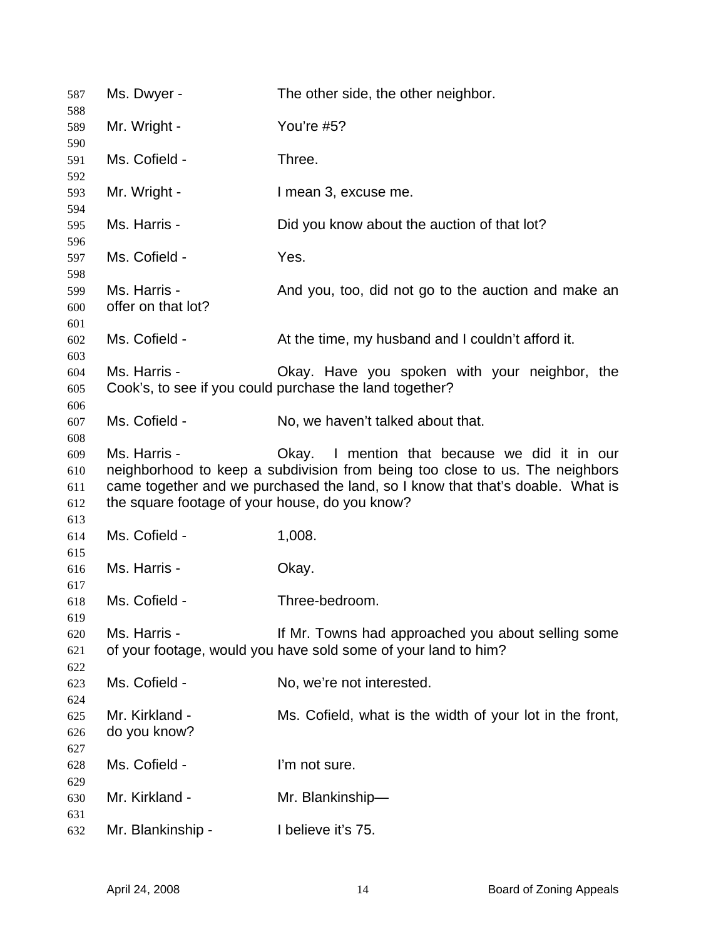| 587                      | Ms. Dwyer -                                                    | The other side, the other neighbor.                                                                                                                                                                             |
|--------------------------|----------------------------------------------------------------|-----------------------------------------------------------------------------------------------------------------------------------------------------------------------------------------------------------------|
| 588<br>589               | Mr. Wright -                                                   | You're #5?                                                                                                                                                                                                      |
| 590                      |                                                                |                                                                                                                                                                                                                 |
| 591                      | Ms. Cofield -                                                  | Three.                                                                                                                                                                                                          |
| 592<br>593               | Mr. Wright -                                                   | I mean 3, excuse me.                                                                                                                                                                                            |
| 594<br>595               | Ms. Harris -                                                   | Did you know about the auction of that lot?                                                                                                                                                                     |
| 596<br>597               | Ms. Cofield -                                                  | Yes.                                                                                                                                                                                                            |
| 598<br>599<br>600<br>601 | Ms. Harris -<br>offer on that lot?                             | And you, too, did not go to the auction and make an                                                                                                                                                             |
| 602<br>603               | Ms. Cofield -                                                  | At the time, my husband and I couldn't afford it.                                                                                                                                                               |
| 604<br>605<br>606        | Ms. Harris -                                                   | Okay. Have you spoken with your neighbor, the<br>Cook's, to see if you could purchase the land together?                                                                                                        |
| 607<br>608               | Ms. Cofield -                                                  | No, we haven't talked about that.                                                                                                                                                                               |
| 609<br>610<br>611<br>612 | Ms. Harris -<br>the square footage of your house, do you know? | Okay. I mention that because we did it in our<br>neighborhood to keep a subdivision from being too close to us. The neighbors<br>came together and we purchased the land, so I know that that's doable. What is |
| 613<br>614               | Ms. Cofield -                                                  | 1,008.                                                                                                                                                                                                          |
| 615<br>616               | Ms. Harris -                                                   | Okay.                                                                                                                                                                                                           |
| 617<br>618               | Ms. Cofield -                                                  | Three-bedroom.                                                                                                                                                                                                  |
| 619<br>620<br>621<br>622 | Ms. Harris -                                                   | If Mr. Towns had approached you about selling some<br>of your footage, would you have sold some of your land to him?                                                                                            |
| 623<br>624               | Ms. Cofield -                                                  | No, we're not interested.                                                                                                                                                                                       |
| 625<br>626<br>627        | Mr. Kirkland -<br>do you know?                                 | Ms. Cofield, what is the width of your lot in the front,                                                                                                                                                        |
| 628<br>629               | Ms. Cofield -                                                  | I'm not sure.                                                                                                                                                                                                   |
| 630<br>631               | Mr. Kirkland -                                                 | Mr. Blankinship-                                                                                                                                                                                                |
| 632                      | Mr. Blankinship -                                              | I believe it's 75.                                                                                                                                                                                              |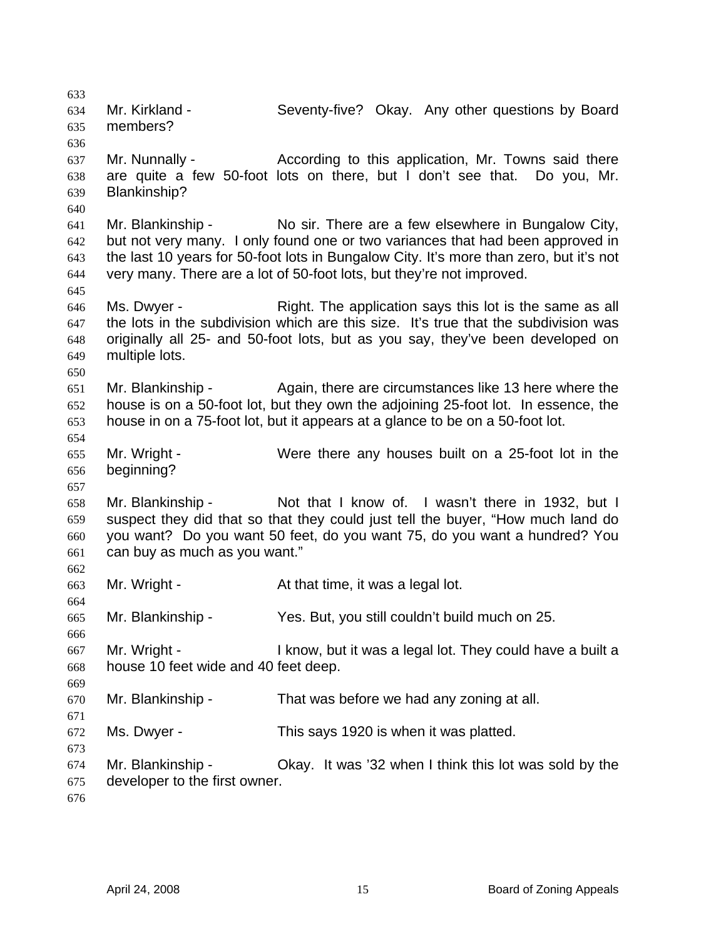633 634 635 636 637 638 639 640 641 642 643 644 645 646 647 648 649 650 651 652 653 654 655 656 657 658 659 660 661 662 663 664 665 666 667 668 669 670 671 672 673 674 675 676 Mr. Kirkland - Seventy-five? Okay. Any other questions by Board members? Mr. Nunnally - According to this application, Mr. Towns said there are quite a few 50-foot lots on there, but I don't see that. Do you, Mr. Blankinship? Mr. Blankinship - No sir. There are a few elsewhere in Bungalow City, but not very many. I only found one or two variances that had been approved in the last 10 years for 50-foot lots in Bungalow City. It's more than zero, but it's not very many. There are a lot of 50-foot lots, but they're not improved. Ms. Dwyer - Right. The application says this lot is the same as all the lots in the subdivision which are this size. It's true that the subdivision was originally all 25- and 50-foot lots, but as you say, they've been developed on multiple lots. Mr. Blankinship - Again, there are circumstances like 13 here where the house is on a 50-foot lot, but they own the adjoining 25-foot lot. In essence, the house in on a 75-foot lot, but it appears at a glance to be on a 50-foot lot. Mr. Wright - Were there any houses built on a 25-foot lot in the beginning? Mr. Blankinship - Not that I know of. I wasn't there in 1932, but I suspect they did that so that they could just tell the buyer, "How much land do you want? Do you want 50 feet, do you want 75, do you want a hundred? You can buy as much as you want." Mr. Wright - At that time, it was a legal lot. Mr. Blankinship - Yes. But, you still couldn't build much on 25. Mr. Wright - I know, but it was a legal lot. They could have a built a house 10 feet wide and 40 feet deep. Mr. Blankinship - That was before we had any zoning at all. Ms. Dwyer - This says 1920 is when it was platted. Mr. Blankinship - Okay. It was '32 when I think this lot was sold by the developer to the first owner.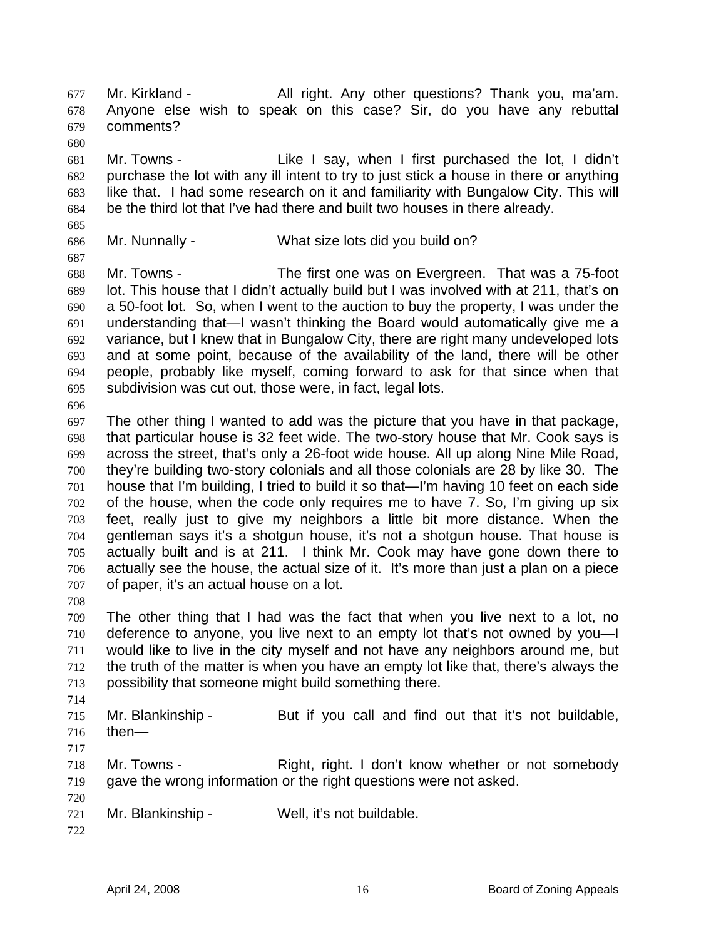Mr. Kirkland - All right. Any other questions? Thank you, ma'am. Anyone else wish to speak on this case? Sir, do you have any rebuttal comments? 677 678 679 680

681 682 683 684 Mr. Towns - Like I say, when I first purchased the lot, I didn't purchase the lot with any ill intent to try to just stick a house in there or anything like that. I had some research on it and familiarity with Bungalow City. This will be the third lot that I've had there and built two houses in there already.

685 686

Mr. Nunnally - What size lots did you build on?

687 688 689 690 691 692 693 694 695 Mr. Towns - The first one was on Evergreen. That was a 75-foot lot. This house that I didn't actually build but I was involved with at 211, that's on a 50-foot lot. So, when I went to the auction to buy the property, I was under the understanding that—I wasn't thinking the Board would automatically give me a variance, but I knew that in Bungalow City, there are right many undeveloped lots and at some point, because of the availability of the land, there will be other people, probably like myself, coming forward to ask for that since when that subdivision was cut out, those were, in fact, legal lots.

696

697 698 699 700 701 702 703 704 705 706 707 The other thing I wanted to add was the picture that you have in that package, that particular house is 32 feet wide. The two-story house that Mr. Cook says is across the street, that's only a 26-foot wide house. All up along Nine Mile Road, they're building two-story colonials and all those colonials are 28 by like 30. The house that I'm building, I tried to build it so that—I'm having 10 feet on each side of the house, when the code only requires me to have 7. So, I'm giving up six feet, really just to give my neighbors a little bit more distance. When the gentleman says it's a shotgun house, it's not a shotgun house. That house is actually built and is at 211. I think Mr. Cook may have gone down there to actually see the house, the actual size of it. It's more than just a plan on a piece of paper, it's an actual house on a lot.

708

709 710 711 712 713 The other thing that I had was the fact that when you live next to a lot, no deference to anyone, you live next to an empty lot that's not owned by you—I would like to live in the city myself and not have any neighbors around me, but the truth of the matter is when you have an empty lot like that, there's always the possibility that someone might build something there.

714

715 716 Mr. Blankinship - But if you call and find out that it's not buildable, then—

717

718 719 Mr. Towns - The Right, right. I don't know whether or not somebody gave the wrong information or the right questions were not asked.

- 721 Mr. Blankinship - Well, it's not buildable.
- 722

720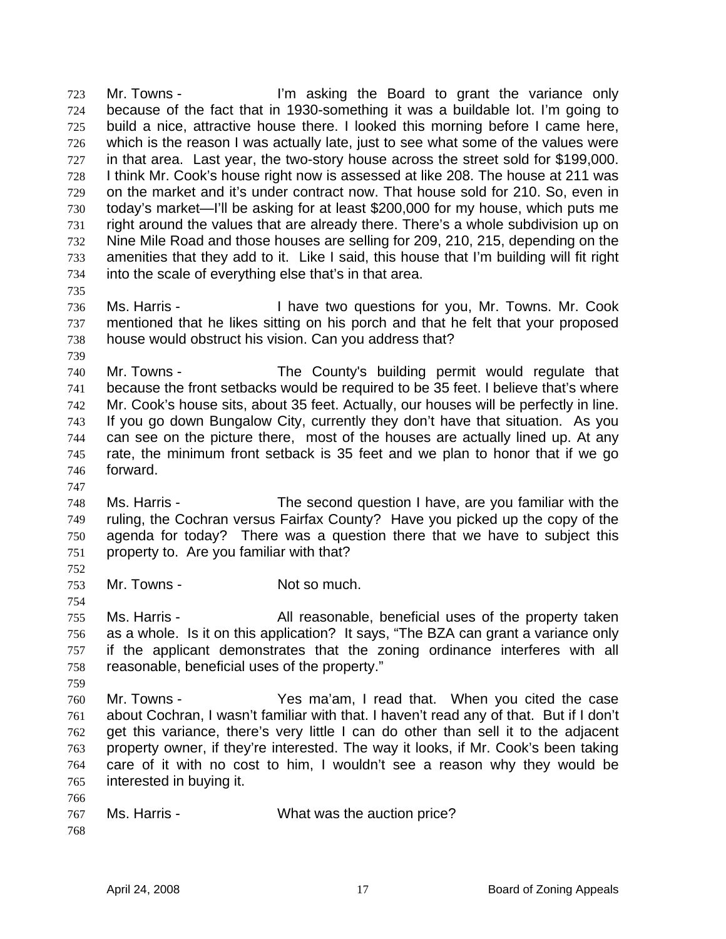Mr. Towns - I'm asking the Board to grant the variance only because of the fact that in 1930-something it was a buildable lot. I'm going to build a nice, attractive house there. I looked this morning before I came here, which is the reason I was actually late, just to see what some of the values were in that area. Last year, the two-story house across the street sold for \$199,000. I think Mr. Cook's house right now is assessed at like 208. The house at 211 was on the market and it's under contract now. That house sold for 210. So, even in today's market—I'll be asking for at least \$200,000 for my house, which puts me right around the values that are already there. There's a whole subdivision up on Nine Mile Road and those houses are selling for 209, 210, 215, depending on the amenities that they add to it. Like I said, this house that I'm building will fit right into the scale of everything else that's in that area. 723 724 725 726 727 728 729 730 731 732 733 734

- 736 737 738 Ms. Harris - Thave two questions for you, Mr. Towns. Mr. Cook mentioned that he likes sitting on his porch and that he felt that your proposed house would obstruct his vision. Can you address that?
- 739

735

- 740 741 742 743 744 745 746 747 Mr. Towns - The County's building permit would regulate that because the front setbacks would be required to be 35 feet. I believe that's where Mr. Cook's house sits, about 35 feet. Actually, our houses will be perfectly in line. If you go down Bungalow City, currently they don't have that situation. As you can see on the picture there, most of the houses are actually lined up. At any rate, the minimum front setback is 35 feet and we plan to honor that if we go forward.
- 748 749 750 751 752 Ms. Harris - The second question I have, are you familiar with the ruling, the Cochran versus Fairfax County? Have you picked up the copy of the agenda for today? There was a question there that we have to subject this property to. Are you familiar with that?
- 753 Mr. Towns - Not so much.
- 755 756 757 758 Ms. Harris - The All reasonable, beneficial uses of the property taken as a whole. Is it on this application? It says, "The BZA can grant a variance only if the applicant demonstrates that the zoning ordinance interferes with all reasonable, beneficial uses of the property."
- 759

754

- 760 761 762 763 764 765 Mr. Towns - Yes ma'am, I read that. When you cited the case about Cochran, I wasn't familiar with that. I haven't read any of that. But if I don't get this variance, there's very little I can do other than sell it to the adjacent property owner, if they're interested. The way it looks, if Mr. Cook's been taking care of it with no cost to him, I wouldn't see a reason why they would be interested in buying it.
- 767 Ms. Harris - What was the auction price?
- 768

766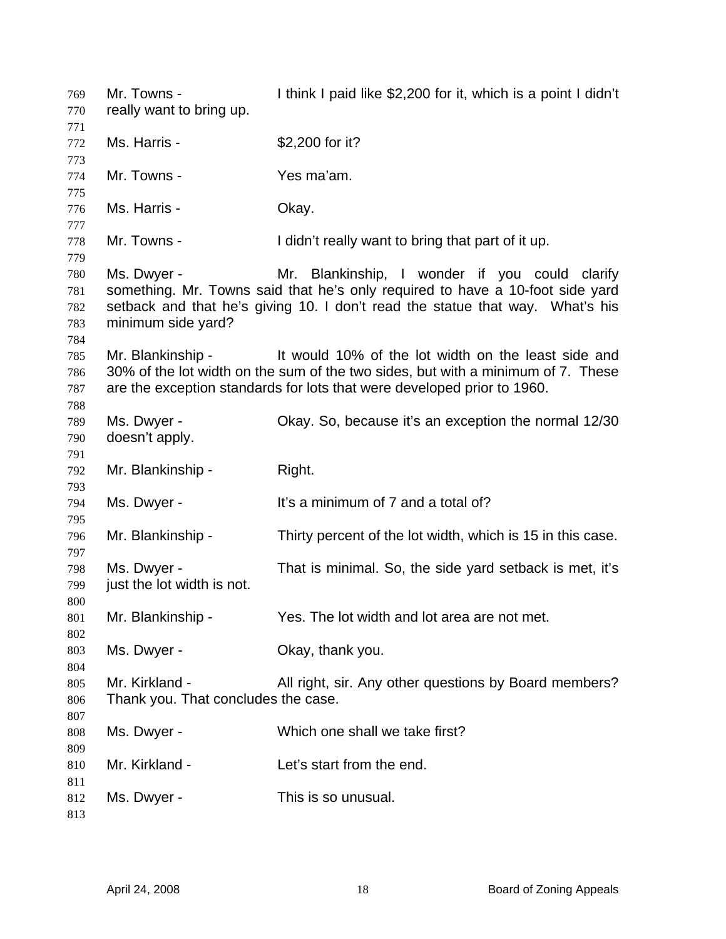| 769<br>770                      | Mr. Towns -<br>really want to bring up.               | I think I paid like \$2,200 for it, which is a point I didn't                                                                                                                                                      |
|---------------------------------|-------------------------------------------------------|--------------------------------------------------------------------------------------------------------------------------------------------------------------------------------------------------------------------|
| 771<br>772<br>773               | Ms. Harris -                                          | \$2,200 for it?                                                                                                                                                                                                    |
| 774<br>775                      | Mr. Towns -                                           | Yes ma'am.                                                                                                                                                                                                         |
| 776<br>777                      | Ms. Harris -                                          | Okay.                                                                                                                                                                                                              |
| 778<br>779                      | Mr. Towns -                                           | I didn't really want to bring that part of it up.                                                                                                                                                                  |
| 780<br>781<br>782<br>783<br>784 | Ms. Dwyer -<br>minimum side yard?                     | Mr. Blankinship, I wonder if you could clarify<br>something. Mr. Towns said that he's only required to have a 10-foot side yard<br>setback and that he's giving 10. I don't read the statue that way. What's his   |
| 785<br>786<br>787<br>788        | Mr. Blankinship -                                     | It would 10% of the lot width on the least side and<br>30% of the lot width on the sum of the two sides, but with a minimum of 7. These<br>are the exception standards for lots that were developed prior to 1960. |
| 789<br>790<br>791               | Ms. Dwyer -<br>doesn't apply.                         | Okay. So, because it's an exception the normal 12/30                                                                                                                                                               |
|                                 |                                                       |                                                                                                                                                                                                                    |
| 792                             | Mr. Blankinship -                                     | Right.                                                                                                                                                                                                             |
| 793<br>794                      | Ms. Dwyer -                                           | It's a minimum of 7 and a total of?                                                                                                                                                                                |
| 795<br>796                      | Mr. Blankinship -                                     | Thirty percent of the lot width, which is 15 in this case.                                                                                                                                                         |
| 797<br>798<br>799               | Ms. Dwyer -<br>just the lot width is not.             | That is minimal. So, the side yard setback is met, it's                                                                                                                                                            |
| 800<br>801                      | Mr. Blankinship -                                     | Yes. The lot width and lot area are not met.                                                                                                                                                                       |
| 802<br>803                      | Ms. Dwyer -                                           | Okay, thank you.                                                                                                                                                                                                   |
| 804<br>805<br>806               | Mr. Kirkland -<br>Thank you. That concludes the case. | All right, sir. Any other questions by Board members?                                                                                                                                                              |
| 807<br>808                      | Ms. Dwyer -                                           | Which one shall we take first?                                                                                                                                                                                     |
| 809<br>810<br>811               | Mr. Kirkland -                                        | Let's start from the end.                                                                                                                                                                                          |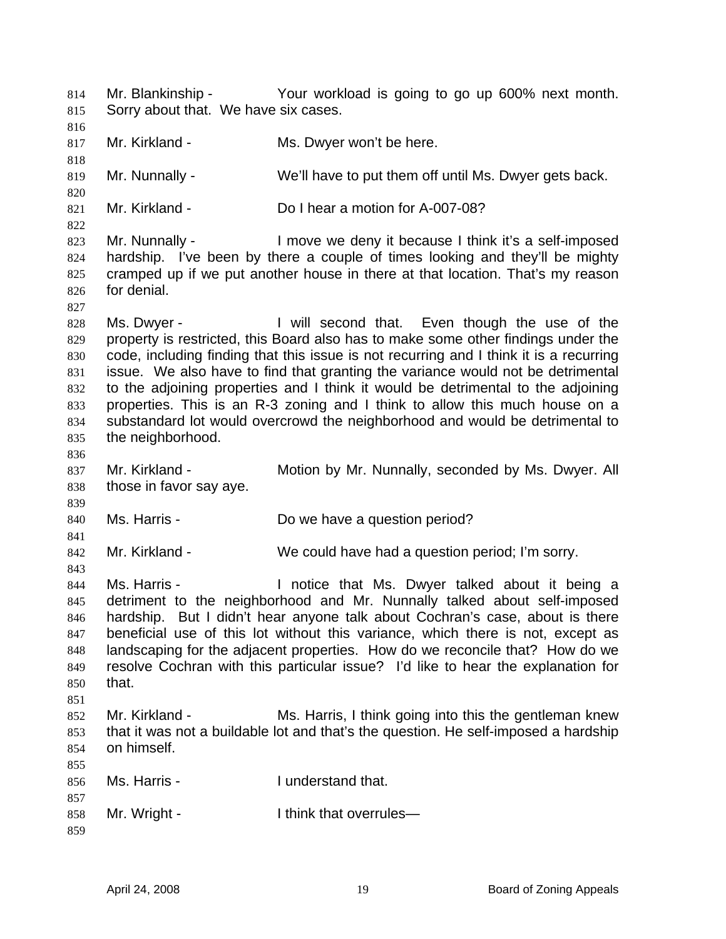Mr. Blankinship - Your workload is going to go up 600% next month. Sorry about that. We have six cases. 814 815 816 817 818 819 820 821 822 823 824 825 826 827 828 829 830 831 832 833 834 835 836 837 838 839 840 841 842 843 844 845 846 847 848 849 850 851 852 853 854 855 856 857 858 859 Mr. Kirkland - Ms. Dwyer won't be here. Mr. Nunnally - We'll have to put them off until Ms. Dwyer gets back. Mr. Kirkland - Do I hear a motion for A-007-08? Mr. Nunnally - I move we deny it because I think it's a self-imposed hardship. I've been by there a couple of times looking and they'll be mighty cramped up if we put another house in there at that location. That's my reason for denial. Ms. Dwyer - I will second that. Even though the use of the property is restricted, this Board also has to make some other findings under the code, including finding that this issue is not recurring and I think it is a recurring issue. We also have to find that granting the variance would not be detrimental to the adjoining properties and I think it would be detrimental to the adjoining properties. This is an R-3 zoning and I think to allow this much house on a substandard lot would overcrowd the neighborhood and would be detrimental to the neighborhood. Mr. Kirkland - Motion by Mr. Nunnally, seconded by Ms. Dwyer. All those in favor say aye. Ms. Harris - **Do we have a question period?** Mr. Kirkland - We could have had a question period; I'm sorry. Ms. Harris - I notice that Ms. Dwyer talked about it being a detriment to the neighborhood and Mr. Nunnally talked about self-imposed hardship. But I didn't hear anyone talk about Cochran's case, about is there beneficial use of this lot without this variance, which there is not, except as landscaping for the adjacent properties. How do we reconcile that? How do we resolve Cochran with this particular issue? I'd like to hear the explanation for that. Mr. Kirkland - Ms. Harris, I think going into this the gentleman knew that it was not a buildable lot and that's the question. He self-imposed a hardship on himself. Ms. Harris - The Munderstand that. Mr. Wright - Think that overrules—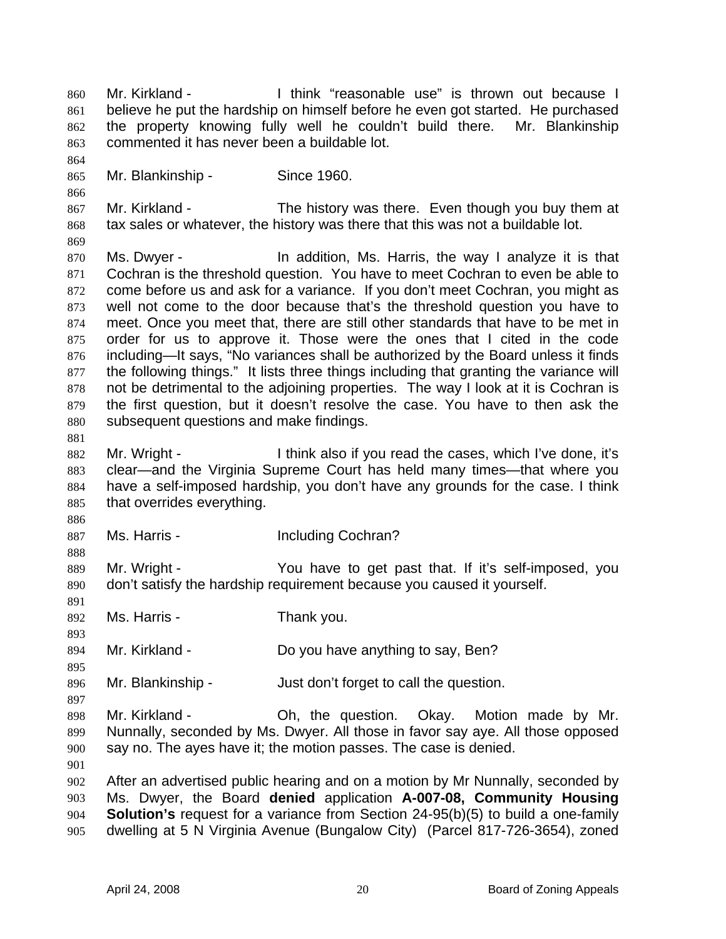Mr. Kirkland - Think "reasonable use" is thrown out because I believe he put the hardship on himself before he even got started. He purchased the property knowing fully well he couldn't build there. Mr. Blankinship commented it has never been a buildable lot. 860 861 862 863 864 865 866 867 868 869 870 871 872 873 874 875 876 877 878 879 880 881 882 883 884 885 886 887 888 889 890 891 892 893 894 895 896 897 898 899 900 901 902 903 904 905 Mr. Blankinship - Since 1960. Mr. Kirkland - The history was there. Even though you buy them at tax sales or whatever, the history was there that this was not a buildable lot. Ms. Dwyer - In addition, Ms. Harris, the way I analyze it is that Cochran is the threshold question. You have to meet Cochran to even be able to come before us and ask for a variance. If you don't meet Cochran, you might as well not come to the door because that's the threshold question you have to meet. Once you meet that, there are still other standards that have to be met in order for us to approve it. Those were the ones that I cited in the code including—It says, "No variances shall be authorized by the Board unless it finds the following things." It lists three things including that granting the variance will not be detrimental to the adjoining properties. The way I look at it is Cochran is the first question, but it doesn't resolve the case. You have to then ask the subsequent questions and make findings. Mr. Wright - Think also if you read the cases, which I've done, it's clear—and the Virginia Supreme Court has held many times—that where you have a self-imposed hardship, you don't have any grounds for the case. I think that overrides everything. Ms. Harris - The Including Cochran? Mr. Wright - You have to get past that. If it's self-imposed, you don't satisfy the hardship requirement because you caused it yourself. Ms. Harris - Thank you. Mr. Kirkland - Do you have anything to say, Ben? Mr. Blankinship - Just don't forget to call the question. Mr. Kirkland - Oh, the question. Okay. Motion made by Mr. Nunnally, seconded by Ms. Dwyer. All those in favor say aye. All those opposed say no. The ayes have it; the motion passes. The case is denied. After an advertised public hearing and on a motion by Mr Nunnally, seconded by Ms. Dwyer, the Board **denied** application **A-007-08, Community Housing Solution's** request for a variance from Section 24-95(b)(5) to build a one-family dwelling at 5 N Virginia Avenue (Bungalow City) (Parcel 817-726-3654), zoned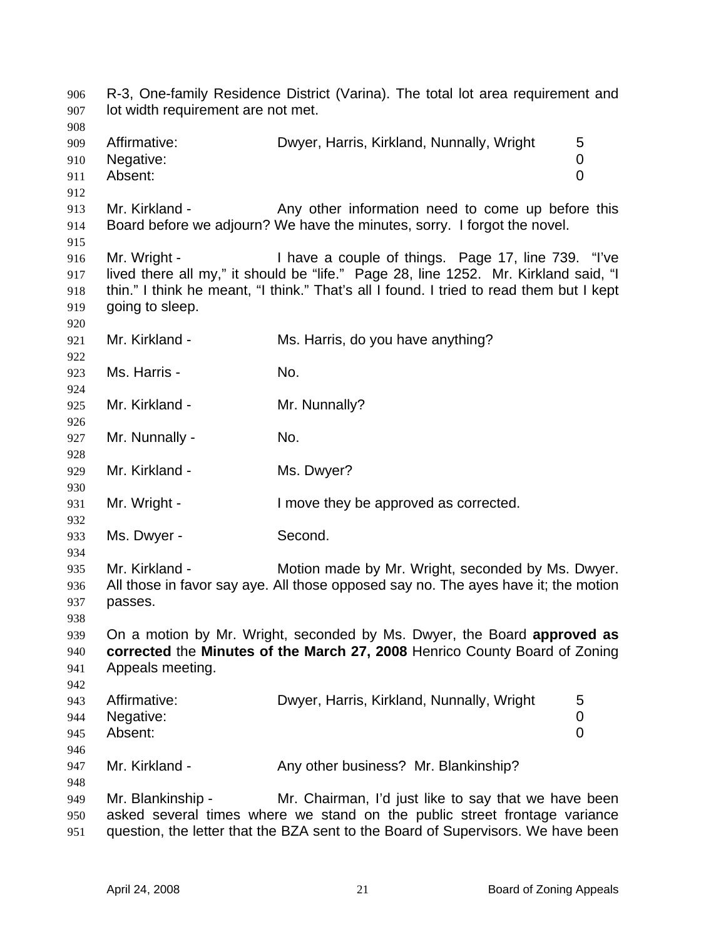R-3, One-family Residence District (Varina). The total lot area requirement and lot width requirement are not met. 906 907 908 909 910 911 912 913 914 915 916 917 918 919 920 921 922 923 924 925 926 927 928 929 930 931 932 933 934 935 936 937 938 939 940 941 942 943 944 945 946 947 948 949 950 951 Affirmative: Dwyer, Harris, Kirkland, Nunnally, Wright 5 Negative: 0 Absent: 0 Mr. Kirkland - The Any other information need to come up before this Board before we adjourn? We have the minutes, sorry. I forgot the novel. Mr. Wright - Thave a couple of things. Page 17, line 739. "I've lived there all my," it should be "life." Page 28, line 1252. Mr. Kirkland said, "I thin." I think he meant, "I think." That's all I found. I tried to read them but I kept going to sleep. Mr. Kirkland - Ms. Harris, do you have anything? Ms. Harris - No. Mr. Kirkland - Mr. Nunnally? Mr. Nunnally - No. Mr. Kirkland - Ms. Dwyer? Mr. Wright - The Muslim ove they be approved as corrected. Ms. Dwyer - Second. Mr. Kirkland - Motion made by Mr. Wright, seconded by Ms. Dwyer. All those in favor say aye. All those opposed say no. The ayes have it; the motion passes. On a motion by Mr. Wright, seconded by Ms. Dwyer, the Board **approved as corrected** the **Minutes of the March 27, 2008** Henrico County Board of Zoning Appeals meeting. Affirmative: **Dwyer, Harris, Kirkland, Nunnally, Wright** 5 Negative: 0 Absent: 0 Mr. Kirkland - Any other business? Mr. Blankinship? Mr. Blankinship - Mr. Chairman, I'd just like to say that we have been asked several times where we stand on the public street frontage variance question, the letter that the BZA sent to the Board of Supervisors. We have been